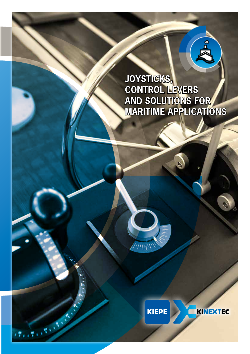### **JOYSTICKS, CONTROL LEVERS AND SOLUTIONS FOR MARITIME APPLICATIONS**



 $744W$ 

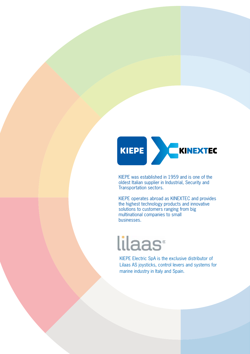

KIEPE was established in 1959 and is one of the oldest Italian supplier in Industrial, Security and Transportation sectors.

KIEPE operates abroad as KINEXTEC and provides the highest technology products and innovative solutions to customers ranging from big multinational companies to small businesses.

# lilaas<sup>®</sup>

KIEPE Electric SpA is the exclusive distributor of Lilaas AS joysticks, control levers and systems for marine industry in Italy and Spain.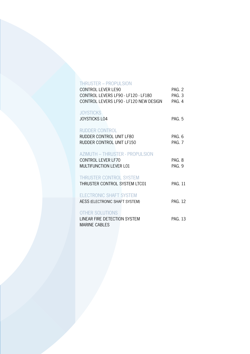#### THRUSTER – PROPULSION

| CONTROL LEVER LE90                     | PAG. 2         |
|----------------------------------------|----------------|
| CONTROL LEVERS LF90 - LF120 - LF180    | PAG. 3         |
| CONTROL LEVERS LF90 - LF120 NEW DESIGN | PAG. 4         |
|                                        |                |
| <b>JOYSTICKS</b>                       |                |
| <b>JOYSTICKS LO4</b>                   | PAG. 5         |
| <b>RUDDER CONTROL</b>                  |                |
| RUDDER CONTROL UNIT LF80               | PAG. 6         |
| RUDDER CONTROL UNIT LF150              | PAG. 7         |
|                                        |                |
| <b>AZIMUTH - THRUSTER - PROPULSION</b> |                |
| <b>CONTROL LEVER LF70</b>              | PAG. 8         |
| MULTIFUNCTION LEVER L01                | PAG. 9         |
|                                        |                |
| <b>THRUSTER CONTROL SYSTEM</b>         |                |
| THRUSTER CONTROL SYSTEM LTC01          | <b>PAG. 11</b> |
|                                        |                |
| <b>ELECTRONIC SHAFT SYSTEM</b>         |                |
| AESS (ELECTRONIC SHAFT SYSTEM)         | <b>PAG. 12</b> |
|                                        |                |
| <b>OTHER SOLUTIONS</b>                 |                |
| LINEAR FIRE DETECTION SYSTEM           | <b>PAG. 13</b> |
| <b>MARINE CABLES</b>                   |                |
|                                        |                |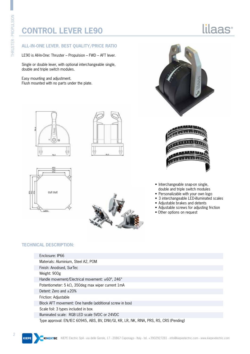### **CONTROL LEVER LE90**

#### **ALL-IN-ONE LEVER. BEST QUALITY/PRICE RATIO**

LE90 is All-In-One: Thruster – Propulsion – FWD – AFT lever.

Single or double lever, with optional interchangeable single, double and triple switch modules.

Easy mounting and adjustment. Flush mounted with no parts under the plate.











lilaas<sup>®</sup>



• Interchangeable snap-on single, double and triple switch modules

- Personalizable with your own logo
- 3 interchangeable LED-illuminated scales
- Adjustable brakes and detents
- Adjustable screws for adjusting friction
- Other options on request

| Enclosure: IP66                                                                        |
|----------------------------------------------------------------------------------------|
| Materials: Aluminium, Steel A2, POM                                                    |
| Finish: Anodised, SurTec                                                               |
| Weight: 900g                                                                           |
| Handle movement/Electrical movement: $\pm 60^\circ$ , 246°                             |
| Potentiometer: 5 k $\Omega$ , 350deg max wiper current 1mA                             |
| Detent: Zero and $\pm 20\%$                                                            |
| Friction: Adjustable                                                                   |
| Block AFT movement: One handle (additional screw in box)                               |
| Scale foil: 3 types included in box                                                    |
| Illuminated scale: RGB LED scale 5VDC or 24VDC                                         |
| Type approval: EN/IEC 60945, ABS, BV, DNV/GI, KR, LR, NK, RINA, PRS, RS, CRS (Pending) |

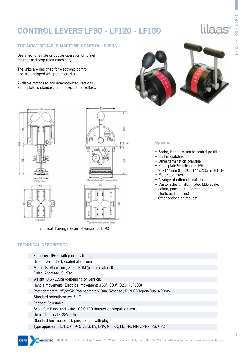### **CONTROL LEVERS LF90 - LF120 - LF180**

### lilaas<sup>®</sup>

#### **THE MOST RELIABLE MARITIME CONTROL LEVERS**

Designed for single or double operation of tunnel thruster and propulsion machinery.

The units are designed for electronic control and are equipped with potentiometers.

Available motorized and non-motorized versions. Panel plate is standard on motorized controllers.



#### **Options**

- Spring loaded return to neutral position
- Built-in switches
- Other termination available
- Panel plate 96×96mm (LF90),
- 96x144mm (LF120), 144x220mm (LF180) • Motorised axes
- A range of different scale foils
- Custom design (illuminated LED scale, colour, panel plate, potentiometer, shafts and handles)
- Other options on request



84

Q  $\frac{1}{100}$  72  $\frac{1}{100}$ 96 E **ALLA** Ř Millity Firm

Top view with panel plate

ä

Technical drawing mecanical version of LF90

#### **TECHNICAL DESCRIPTION:**

KIEDE

| Enclosure: IP66 (with panel plate)                                            |
|-------------------------------------------------------------------------------|
| Side covers: Black coated aluminium                                           |
| Materials: Aluminium, Steel, POM (plastic material)                           |
| Finish: Anodised, SurTec                                                      |
| Weight: 0,6 - 1,5kg (depending on version)                                    |
| Handle movement/ Electrical movement: $\pm 60^\circ$ , 300° (320° - LF180)    |
| Potentiometer: 1x5/2x5k_Potentiometer/ Dual 5Vsensor/Dual CANopen/Dual 4-20mA |
| Standard potentiometer: 5 k $\Omega$                                          |
| Friction: Adjustable                                                          |
| Scale foil: Black and white 100-0-100 thruster or propulsion scale            |
| Illuminated scale: 28V bulb                                                   |
| Standard termination: 16 pins contact with plug                               |
| Type approval: EN/IEC 60945, ABS, BV, DNV, GL, KR, LR, NK, RINA, PRS, RS, CRS |

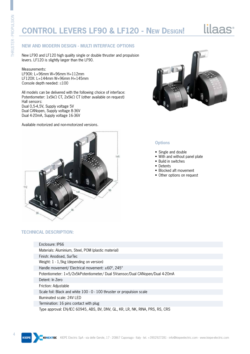### **CONTROL LEVERS LF90 & LF120 - New Design!**

## lilaas<sup>®</sup>

#### **NEW AND MODERN DESIGN - MULTI INTERFACE OPTIONS**

New LF90 and LF120 high quality single or double thruster and propulsion levers. LF120 is slightly larger than the LF90.

#### Measurements:

LF90X: L=96mm W=96mm H=112mm LF120X: L=144mm W=96mm H=145mm Console depth needed: ≤100

All models can be delivered with the following choice of interface: Potentiometer: 1x5kΩ CT, 2x5kΩ CT (other available on request) Hall sensors: Dual 0,5-4,5V, Supply voltage 5V Dual CANopen, Supply voltage 8-36V Dual 4-20mA, Supply voltage 16-36V

Available motorized and non-motorized versions.



#### **Options**

- Single and double
- With and without panel plate
- Build in switches
- Detents
- Blocked aft movement
- Other options on request



| Enclosure: IP66                                                               |
|-------------------------------------------------------------------------------|
| Materials: Aluminium, Steel, POM (plastic material)                           |
| Finish: Anodised, SurTec                                                      |
| Weight: 1 - 1,5kg (depending on version)                                      |
| Handle movement/ Electrical movement: $\pm 60^\circ$ , 245°                   |
| Potentiometer: 1×5/2x5kPotentiometer/ Dual 5Vsensor/Dual CANopen/Dual 4-20mA  |
| Detent: In Zero                                                               |
| Friction: Adjustable                                                          |
| Scale foil: Black and white 100 - 0 - 100 thruster or propulsion scale        |
| Illuminated scale: 24V LED                                                    |
| Termination: 16 pins contact with plug                                        |
| Type approval: EN/IEC 60945, ABS, BV, DNV, GL, KR, LR, NK, RINA, PRS, RS, CRS |

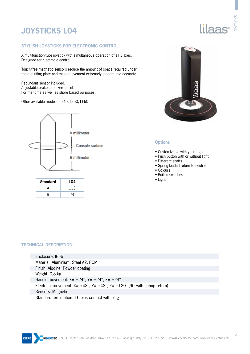### **JOYSTICKS L04**

#### **STYLISH JOYSTICKS FOR ELECTRONIC CONTROL**

A multifunction-type joystick with simultaneous operation of all 3 axes. Designed for electronic control.

Touch-free magnetic sensors reduce the amount of space required under the mounting plate and make movement extremely smooth and accurate.

Redundant sensor included. Adjustable brakes and zero point. For maritime as well as shore based purposes.

Other available models: LF40, LF50, LF60



| <b>Standard</b> | L04 |
|-----------------|-----|
| A               | 113 |
| ь               | ′4  |



#### **Options**

- Customizable with your logo
- Push button with or without light
- Different shafts
- Spring-loaded return to neutral
- Colours
- Built-in switches
- 

#### **TECHNICAL DESCRIPTION:**

ļ

| Enclosure: IP56                                                                                             |  |
|-------------------------------------------------------------------------------------------------------------|--|
| Material: Aluminium, Steel A2, POM                                                                          |  |
| Finish: Alodine, Powder coating                                                                             |  |
| Weight: 0,8 kg                                                                                              |  |
| Handle movement: $X = \pm 24^{\circ}$ ; $Y = \pm 24^{\circ}$ ; $Z = \pm 24^{\circ}$                         |  |
| Electrical movement: $X = \pm 48^\circ$ ; $Y = \pm 48^\circ$ ; $Z = \pm 120^\circ$ (90° with spring return) |  |
| Sensors: Magnetic                                                                                           |  |
| Standard termination: 16 pins contact with plug                                                             |  |



JOYSTICKS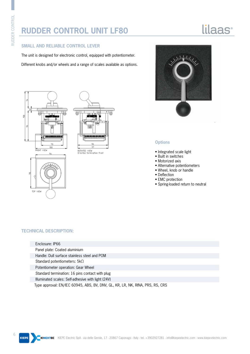### **RUDDER CONTROL UNIT LF80**

# lilaas<sup>®</sup>

#### **SMALL AND RELIABLE CONTROL LEVER**

The unit is designed for electronic control, equipped with potentiometer.

Different knobs and/or wheels and a range of scales available as options.







#### **Options**

- Integrated scale light
- Built in switches
- Motorized axis
- Alternative potentiometers
- Wheel, knob or handle
- Deflection
- EMC protection
- Spring-loaded return to neutral

| Enclosure: IP66 |  |
|-----------------|--|
|-----------------|--|

- Panel plate: Coated aluminium
- Handle: Dull surface stainless steel and POM
- Standard potentiometers: 5kΩ
- Potentiometer operation: Gear Wheel
- Standard termination: 16 pins contact with plug
- Illuminated scales: Self-adhesive with light (24V)
- Type approval: EN/IEC 60945, ABS, BV, DNV, GL, KR, LR, NK, RINA, PRS, RS, CRS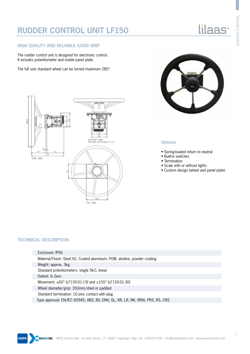### **RUDDER CONTROL UNIT LF150**

#### **HIGH QUALITY AND RELIABLE GOOD GRIP**

The rudder control unit is designed for electronic control. It includes potentiometer and visible panel plate.

The full size standard wheel can be turned maximum 280º.



#### **Options**

- Spring-loaded return to neutral
- Built-in switches
- Termination
- Scale with or without lights
- Custom design (wheel and panel plate)



#### **TECHNICAL DESCRIPTION:**

Enclosure: IP56 Material/Finish: Steel A2, Coated aluminium, POM, alodine, powder coating Weight: approx. 3kg Standard potentiometers: single 5kΩ, linear Detent: In Zero Movement: ±60° (LF150-01-19) and ±155° (LF150-01-30) Wheel diameter/grip: 350mm/steel or padded Standard termination: 16 pins contact with plug Type approval: EN/IEC 60945, ABS, BV, DNV, GL, KR, LR, NK, RINA, PRS, RS, CRS

lilaas<sup>®</sup>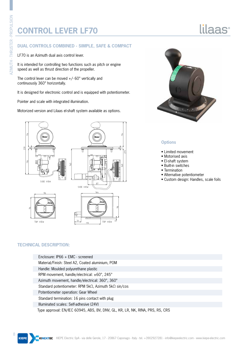pp.

### **CONTROL LEVER LF70**

#### **DUAL CONTROLS COMBINED - SIMPLE, SAFE & COMPACT**

LF70 is an Azimuth dual axis control lever.

It is intended for controlling two functions such as pitch or engine speed as well as thrust direction of the propeller.

The control lever can be moved  $+/-$  60 $^{\circ}$  vertically and continuously 360° horizontally.

It is designed for electronic control and is equipped with potentiometer.

Pointer and scale with integrated illumination.

Motorized version and Lilaas el-shaft system available as options.





lilaas<sup>®</sup>

#### **Options**

- Limited movement
- Motorised axis
- El-shaft system
- Built-in switches
- Termination
- Alternative potentiometer
- Custom design: Handles, scale foils

| Enclosure: $IP66 + EMC - screened$                                            |  |
|-------------------------------------------------------------------------------|--|
| Material/Finish: Steel A2, Coated aluminium, POM                              |  |
| Handle: Moulded polyurethane plastic                                          |  |
| RPM movement, handle/electrical: ±60°, 245°                                   |  |
| Azimuth movement, handle/electrical: 360°, 360°                               |  |
| Standard potentiometer: RPM $5k\Omega$ , Azimuth $5k\Omega$ sin/cos           |  |
| Potentiometer operation: Gear Wheel                                           |  |
| Standard termination: 16 pins contact with plug                               |  |
| Illuminated scales: Self-adhesive (24V)                                       |  |
| Type approval: EN/IEC 60945, ABS, BV, DNV, GL, KR, LR, NK, RINA, PRS, RS, CRS |  |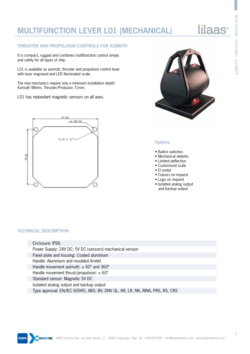### **MULTIFUNCTION LEVER L01 (MECHANICAL)**

#### **THRUSTER AND PROPULSION CONTROLS FOR AZIMUTH**

It is compact, rugged and combines multifunction control simply and safely for all types of ship.

L01 is available as azimuth, thruster and propulsion control lever with laser engraved and LED illuminated scale.

The new mechanics require only a minimum installation depth: Azimuth 98mm. Thruster/Prolusion 71mm.

L01 has redundant magnetic sensors on all axes.





#### **Options**

- Built-in switches
- Mechanical detents
- Limited deflection
- Customized scale
- El motor
- Colours on request
- Logo on request
- Isolated analog output and backup output

#### **TECHNICAL DESCRIPTION:**

Enclosure: IP66 Power Supply: 24V DC; 5V DC (sensors) mechanical version Panel plate and housing: Coated aluminium Handle: Aluminium and moulded Arnitel Handle movement azimuth:  $\pm$  60 $^{\circ}$  and 360 $^{\circ}$ Handle movement thrust/propulsion:  $\pm 60^\circ$ Standard sensor: Magnetic 5V DC Isolated analog output and backup output Type approval: EN/IEC 60945, ABS, BV, DNV GL, KR, LR, NK, RINA, PRS, RS, CRS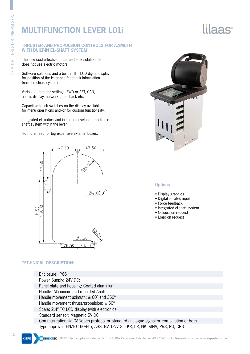### **MULTIFUNCTION LEVER L01i**

#### **THRUSTER AND PROPULSION CONTROLS FOR AZIMUTH WITH BUILT-IN EL-SHAFT SYSTEM**

The new cost-effective force feedback solution that does not use electric motors.

Software solutions and a built in TFT LCD digital display for position of the lever and feedback information from the ship's systems.

Various parameter settings: FWD or AFT, CAN, alarm, display, networks, feedback etc.

Capacitive touch switches on the display available for menu operations and/or for custom functionality.

Integrated el motors and in house developed electronic shaft system within the lever.

No more need for big expensive external boxes.



#### **TECHNICAL DESCRIPTION:**





**Options**

• Display graphics • Digital isolated input • Force feedback

• Integrated el-shaft system • Colours on request • Logo on request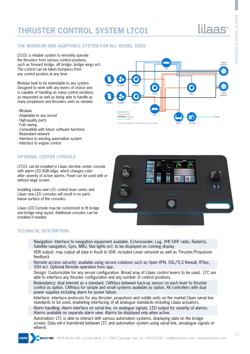### **THRUSTER CONTROL SYSTEM LTC01**

THRUSTER CONTROL SYSTEM

**THRUSTER CONTROL** 

#### **THE MODULAR AND ADAPTABLE SYSTEM FOR ALL VESSEL SIZES**

LTC01 is reliable system to remotely operate the thrusters from various control positions, such as forward bridge, aft bridge, bridge wings ect. The control can be taken bumpless from any control position at any time.

Modular built to be extendable to any system. Designed to work with any levers of choice and is capable of handling as many control positions as requested as well as being able to handle as many proplulsion and thrusters units as needed.

- Modular
- Adaptable to any vessel
- High-quality parts
- Fuel saving
- Compatible with future software functions
- Redundant network
- Interface to existing automation system
- Interface to engine control

#### **OPTIONAL CENTER CONSOLE**

LTC01 can be installed in Lilaas slim-line center console with alarm LED RGB edge, which changes color after severity of active alarms. Panel can be used with or without large screen.

Installing Lilaas new L01 control lever series and Lilaas new LED consoles will result in no parts below surface of the consoles.

Lilaas LED Console may be customized to fit bridge and bridge wing layout. Additional consoles can be installed if needed.



- Navigation: Interface to navigation equipment available. Echosounder, Log, VHF/UHF radio, Radar(s), Satellite navigation, Gyro, MRU, Nav lights ect. to be displayed on conning display
- VDR output: may output all data in Ascili to VDR, included Lever set-point as well as Thruster/Propulsion feedback
- Remote access security: available using secure colutions such as Open VPN, SSL/TLS firewall, IPSec, SSH ect. Optional Remote operation from app.
- Design: Customizible for any vessel configuration. Broad aray of Lilaas control levers to be used. LTC are able to interface any thruster configuration and any number of control positions.
- Redundancy: dual internet as a standard. CAN-bus between back-up sensor on each lever to thruster control as option. CAN-bus for simple and small systems available as option. All controllers with dual power supplies including alarm for power failure.
- Interface: interface protocols for any thruster, propolsion and ruddle units on the market.Open serial line standards to be used, enableling interfacing of all analogue standards including Lilaas actuators.
- Alarm handling: Alarm interface on serial line, on analogue signals. LED output for severity of alarms. Alarms available on separate alarm view. Alarms be displayed only when active.
- Automation: LTC is able to interact with various automation systems, displaying data on the bridge screen. Data will e transfered between LTC and automation system using serial line, anoalogue signals or ethernt.

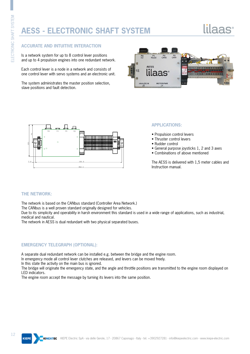### **AESS - ELECTRONIC SHAFT SYSTEM**

# lilaas<sup>.</sup>

#### **ACCURATE AND INTUITIVE INTERACTION**

Is a network system for up to 8 control lever positions and up to 4 propulsion engines into one redundant network.

Each control lever is a node in a network and consists of one control lever with servo systems and an electronic unit.

The system administrates the master position selection, slave positions and fault detection.





#### **APPLICATIONS:**

- Propulsion control levers
- Thruster control levers
- Rudder control
- General purpose joysticks 1, 2 and 3 axes
- Combinations of above mentioned

The AESS is delivered with 1,5 meter cables and Instruction manual.

#### **THE NETWORK:**

The network is based on the CANbus standard (Controller Area Network.)

The CANbus is a well proven standard originally designed for vehicles.

Due to its simplicity and operability in harsh environment this standard is used in a wide range of applications, such as industrial, medical and nautical.

The network in AESS is dual redundant with two physical separated buses.

#### **EMERGENCY TELEGRAPH (OPTIONAL):**

A separate dual redundant network can be installed e.g. between the bridge and the engine room.

In emergency mode all control lever clutches are released, and levers can be moved freely.

In this state the activity on the main bus is ignored.

The bridge will originate the emergency state, and the angle and throttle positions are transmitted to the engine room displayed on LED indicators.

The engine room accept the message by turning its levers into the same position.

**KIEPE**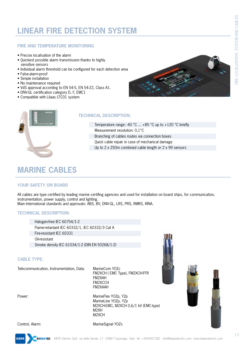### **LINEAR FIRE DETECTION SYSTEM**

#### **FIRE AND TEMPERATURE MONITORING**

- Precise localisation of the alarm
- Quickest possible alarm transmission thanks to highly sensitive sensors
- Individual alarm threshold can be configured for each detection area
- False-alarm-proof
- Simple installation
- No maintenance required
- VdS approval according to EN 54-5, EN 54-22, Class A1.
- DNV-GL certification category D, F, EMC1
- Compatible with Lilaas LTC01 system





#### **TECHNICAL DESCRIPTION:**

Temperature range: -40 °C  $\dots$  +85 °C up to +120 °C briefly Measurement resolution: 0,1°C Branching of cables routes via connection boxes Quick cable repair in case of mechanical damage Up to 2 x 250m combined cable length or 2 x 99 sensors

### **MARINE CABLES**

#### **YOUR SAFETY ON BOARD**

All cables are type certified by leading marine certifing agencies and used for installation on board ships, for communication, instrumentation, power supply, control and lighting. Main International standards and approvals: ABS, BV, DNV-GL, LRS, PRS, RMRS, RINA.

#### **TECHNICAL DESCRIPTION:**

Halogen-free IEC 60754/1-2 Flame-retardant IEC 60332/1, IEC 60332/3 Cat A Fire-resistant IEC 60331 Oil-resistant Smoke density IEC 61034/1-2 (DIN EN 50268/1-2)

#### **CABLE TYPE:**

Telecommunication, Instrumentation, Data: MarineCom YOZc

 FM2XCH ( EMC Type), FM2XCH-FFR FM2XAH FM2XCCH FM2XAAH

Power: MarineFlex YOZp, YZp MarineLine YOZp, YZp M2XCH-EMC, M2XCH 0,6/1 kV (EMC-type) M2XH M2XCH



Control, Alarm: MarineSignal YOZs